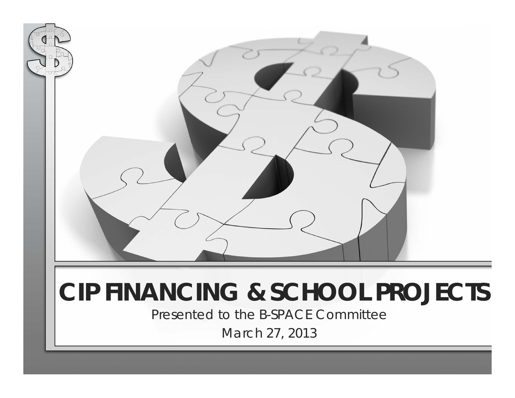

# **CIP FINANCING & SCHOOL PROJECTS**

Presented to the B-SPACE Committee

March 27, 2013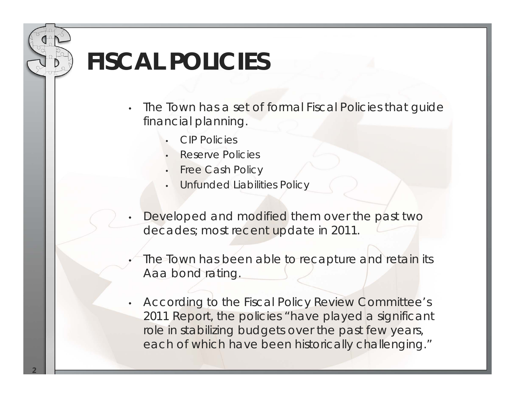## **FISCAL POLICIES**

- • The Town has a set of formal Fiscal Policies that guide financial planning.
	- •CIP Policies
	- •Reserve Policies
	- •Free Cash Policy
	- •Unfunded Liabilities Policy
- • Developed and modified them over the past two decades; most recent update in 2011.
- •The Town has been able to recapture and retain its Aaa bond rating.
- • According to the *Fiscal Policy Review Committee's*  2011 Report, the policies "have played a significant role in stabilizing budgets over the past few years, each of which have been historically challenging."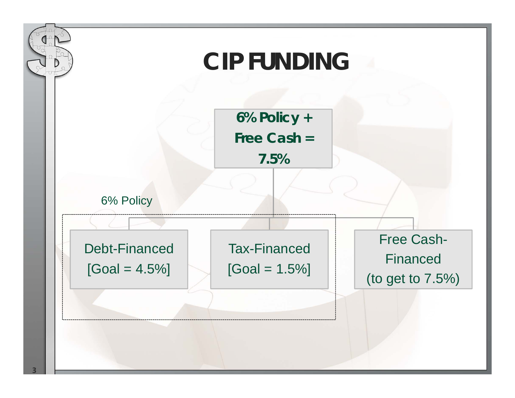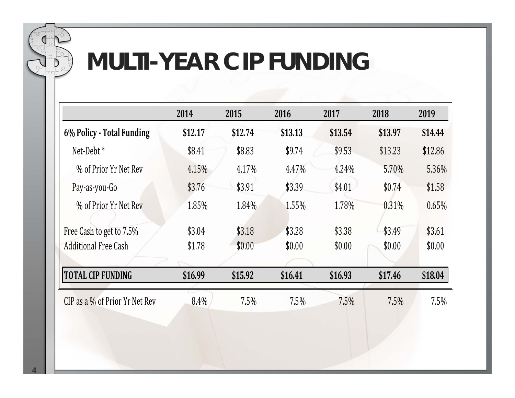

## **MULTI-YEAR CIP FUNDING**

|                                | 2014    | 2015    | 2016    | 2017    | 2018    | 2019    |
|--------------------------------|---------|---------|---------|---------|---------|---------|
| 6% Policy - Total Funding      | \$12.17 | \$12.74 | \$13.13 | \$13.54 | \$13.97 | \$14.44 |
| Net-Debt <sup>*</sup>          | \$8.41  | \$8.83  | \$9.74  | \$9.53  | \$13.23 | \$12.86 |
| % of Prior Yr Net Rev          | 4.15%   | 4.17%   | 4.47%   | 4.24%   | 5.70%   | 5.36%   |
| Pay-as-you-Go                  | \$3.76  | \$3.91  | \$3.39  | \$4.01  | \$0.74  | \$1.58  |
| % of Prior Yr Net Rev          | 1.85%   | 1.84%   | 1.55%   | 1.78%   | 0.31%   | 0.65%   |
| Free Cash to get to 7.5%       | \$3.04  | \$3.18  | \$3.28  | \$3.38  | \$3.49  | \$3.61  |
| <b>Additional Free Cash</b>    | \$1.78  | \$0.00  | \$0.00  | \$0.00  | \$0.00  | \$0.00  |
| <b>TOTAL CIP FUNDING</b>       | \$16.99 | \$15.92 | \$16.41 | \$16.93 | \$17.46 | \$18.04 |
| CIP as a % of Prior Yr Net Rev | 8.4%    | 7.5%    | 7.5%    | 7.5%    | 7.5%    | 7.5%    |
|                                |         |         |         |         |         |         |
|                                |         |         |         |         |         |         |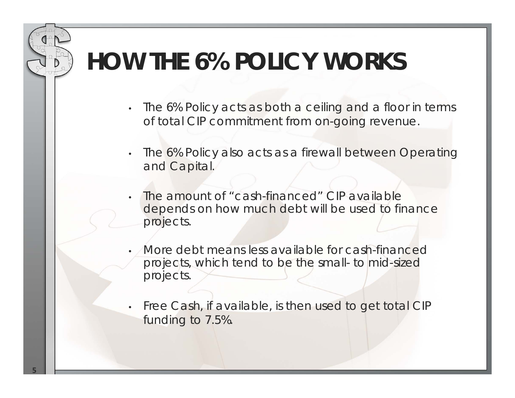## **HOW THE 6% POLICY WORKS**

- The 6% Policy acts as both a ceiling and a floor in terms of total CIP commitment from on-going revenue.
- • The 6% Policy also acts as a firewall between Operating and Capital.
- • The amount of "cash-financed" CIP available depends on how much debt will be used to finance projects.
- More debt means less available for cash-financed projects, which tend to be the small- to mid-sized projects.
- Free Cash, if available, is then used to get total CIP funding to 7.5%.

•

•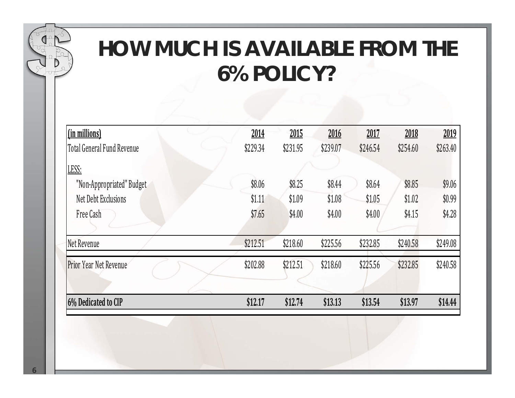

### **HOW MUCH IS AVAILABLE FROM THE 6% POLICY?**

| (in millions)                 | 2014     | 2015     | 2016     | 2017     | 2018     | 2019     |
|-------------------------------|----------|----------|----------|----------|----------|----------|
| Total General Fund Revenue    | \$229.34 | \$231.95 | \$239.07 | \$246.54 | \$254.60 | \$263.40 |
| LESS:                         |          |          |          |          |          |          |
| "Non-Appropriated" Budget     | \$8.06   | \$8.25   | \$8.44   | \$8.64   | \$8.85   | \$9.06   |
| Net Debt Exclusions           | \$1.11   | \$1.09   | \$1.08   | \$1.05   | \$1.02   | \$0.99   |
| Free Cash                     | \$7.65   | \$4.00   | \$4.00   | \$4.00   | \$4.15   | \$4.28   |
|                               |          |          |          |          |          |          |
| Net Revenue                   | \$212.51 | \$218.60 | \$225.56 | \$232.85 | \$240.58 | \$249.08 |
| <b>Prior Year Net Revenue</b> | \$202.88 | \$212.51 | \$218.60 | \$225.56 | \$232.85 | \$240.58 |
|                               |          |          |          |          |          |          |
| 6% Dedicated to CIP           | \$12.17  | \$12.74  | \$13.13  | \$13.54  | \$13.97  | \$14.44  |
|                               |          |          |          |          |          |          |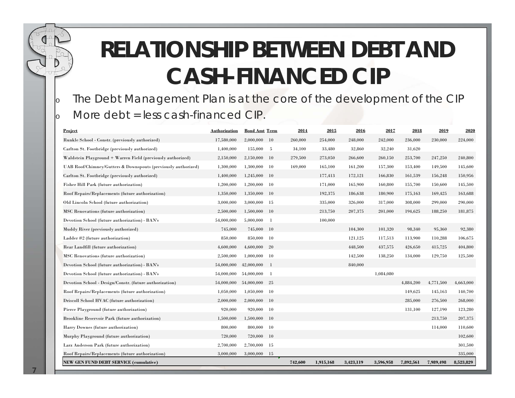### **RELATIONSHIP BETWEEN DEBT AND CASH-FINANCED CIP**

#### The Debt Management Plan is at the core of the development of the CIP More debt = less cash-financed CIP.

| <b>Project</b>                                                | Authorization | <b>Bond Amt Term</b> |               | 2014    | 2015      | 2016      | 2017      | 2018      | 2019      | 2020      |
|---------------------------------------------------------------|---------------|----------------------|---------------|---------|-----------|-----------|-----------|-----------|-----------|-----------|
| Runkle School - Constr. (previously authorized)               | 17,580,000    | 2,000,000            | - 10          | 260,000 | 254,000   | 248,000   | 242,000   | 236,000   | 230,000   | 224,000   |
| Carlton St. Footbridge (previously authorized)                | 1,400,000     | 155,000              | -5            | 34,100  | 33,480    | 32,860    | 32,240    | 31,620    |           |           |
| Waldstein Playground + Warren Field (previously authorized)   | 2,150,000     | 2,150,000            | -10           | 279,500 | 273,050   | 266,600   | 260,150   | 253,700   | 247,250   | 240,800   |
| UAB Roof/Chimney/Gutters & Downspouts (previously authorized) | 1,300,000     | 1,300,000            | -10           | 169,000 | 165.100   | 161,200   | 157,300   | 153,400   | 149.500   | 145,600   |
| Carlton St. Footbridge (previously authorized)                | 1,400,000     | 1,245,000            | - 10          |         | 177,413   | 172,121   | 166,830   | 161,539   | 156,248   | 150,956   |
| Fisher Hill Park (future authorization)                       | 1,200,000     | 1,200,000            | -10           |         | 171,000   | 165,900   | 160,800   | 155,700   | 150,600   | 145,500   |
| Roof Repairs/Replacements (future authorization)              | 1,350,000     | 1,350,000            | -10           |         | 192,375   | 186,638   | 180,900   | 175,163   | 169,425   | 163,688   |
| Old Lincoln School (future authorization)                     | 3,000,000     | 3,000,000            | -15           |         | 335,000   | 326,000   | 317,000   | 308,000   | 299,000   | 290,000   |
| MSC Renovations (future authorization)                        | 2,500,000     | 1,500,000            | <b>10</b>     |         | 213,750   | 207,375   | 201,000   | 194,625   | 188,250   | 181,875   |
| Devotion School (future authorization) - BAN's                | 54,000,000    | 5,000,000            | - 1           |         | 100,000   |           |           |           |           |           |
| Muddy River (previously authorized)                           | 745,000       | 745,000              | <sup>10</sup> |         |           | 104,300   | 101,320   | 98,340    | 95,360    | 92,380    |
| Ladder #2 (future authorization)                              | 850,000       | 850,000              | - 10          |         |           | 121,125   | 117.513   | 113,900   | 110,288   | 106,675   |
| Rear Landfill (future authorization)                          | 4,600,000     | 4,600,000            | 20            |         |           | 448,500   | 437,575   | 426,650   | 415,725   | 404,800   |
| MSC Renovations (future authorization)                        | 2,500,000     | 1,000,000            | -10           |         |           | 142,500   | 138,250   | 134,000   | 129,750   | 125,500   |
| Devotion School (future authorization) - BAN's                | 54,000,000    | 42,000,000           | -1            |         |           | 840,000   |           |           |           |           |
| Devotion School (future authorization) - BAN's                | 54,000,000    | 54,000,000           | $\mathbf{1}$  |         |           |           | 1,084,080 |           |           |           |
| Devotion School - Design/Constr. (future authorization)       | 54,000,000    | 54,000,000           | 25            |         |           |           |           | 4,884,200 | 4,771,500 | 4,663,000 |
| Roof Repairs/Replacements (future authorization)              | 1,050,000     | 1,050,000            | 10            |         |           |           |           | 149,625   | 145,163   | 140,700   |
| Driscoll School HVAC (future authorization)                   | 2,000,000     | 2,000,000            | <b>10</b>     |         |           |           |           | 285,000   | 276,500   | 268,000   |
| Pierce Playground (future authorization)                      | 920,000       | 920,000              | - 10          |         |           |           |           | 131,100   | 127,190   | 123,280   |
| Brookline Reservoir Park (future authorization)               | 1,500,000     | 1,500,000            | <sup>10</sup> |         |           |           |           |           | 213.750   | 207,375   |
| Harry Downes (future authorization)                           | 800,000       | 800,000              | - 10          |         |           |           |           |           | 114,000   | 110,600   |
| Murphy Playground (future authorization)                      | 720,000       | 720,000              | 10            |         |           |           |           |           |           | 102,600   |
| Larz Anderson Park (future authorization)                     | 2,700,000     | 2,700,000            | - 15          |         |           |           |           |           |           | 301,500   |
| Roof Repairs/Replacements (future authorization)              | 3,000,000     | 3,000,000            | -15           |         |           |           |           |           |           | 335,000   |
| <b>NEW GEN FUND DEBT SERVICE (cumulative)</b>                 |               |                      |               | 742,600 | 1,915,168 | 3,423,119 | 3,596,958 | 7,892,561 | 7,989,498 | 8,523,829 |

o

o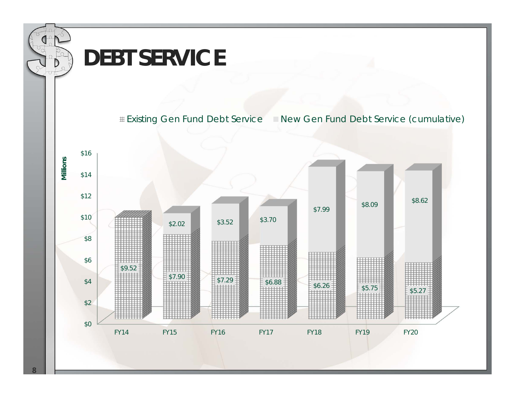

**8**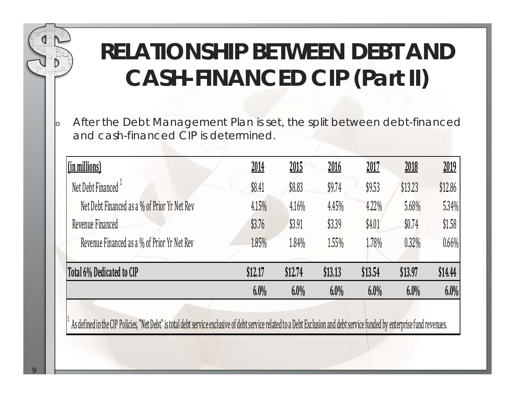## **RELATIONSHIP BETWEEN DEBT AND CASH-FINANCED CIP (Part II)**

o After the Debt Management Plan is set, the split between debt-financed and cash-financed CIP is determined.

| (in millions)                                | 2014    | 2015    | <u>2016</u> | <u> 2017</u> | 2018    | 2019    |
|----------------------------------------------|---------|---------|-------------|--------------|---------|---------|
| Net Debt Financed <sup>1</sup>               | \$8.41  | \$8.83  | \$9.74      | \$9.53       | \$13.23 | \$12.86 |
| Net Debt Financed as a % of Prior Yr Net Rev | 4.15%   | 4.16%   | 4.45%       | 4.22%        | 5.68%   | 5.34%   |
| Revenue Financed                             | \$3.76  | \$3.91  | \$3.39      | \$4.01       | \$0.74  | \$1.58  |
| Revenue Financed as a % of Prior Yr Net Rev  | 1.85%   | 1.84%   | 1.55%       | 1.78%        | 0.32%   | 0.66%   |
| Total 6% Dedicated to CIP                    | \$12.17 | \$12.74 | \$13.13     | \$13.54      | \$13.97 | \$14.44 |
|                                              | $6.0\%$ | $6.0\%$ | $6.0\%$     | $6.0\%$      | $6.0\%$ | $6.0\%$ |

As defined in the CIP Policies, "Net Debt" is total debt service exclusive of debt service related to a Debt Exclusion and debt service funded by enterprise fund revenues.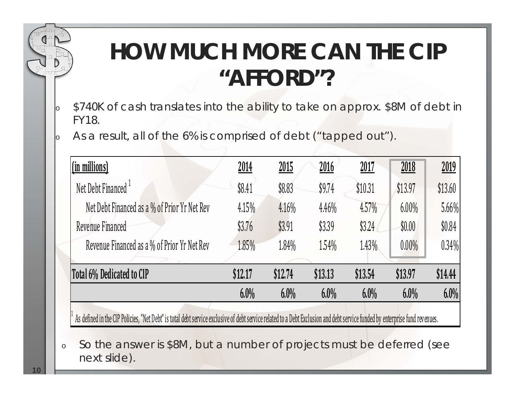### **HOW MUCH MORE CAN THE CIP "AFFORD"?**

- lo \$740K of cash translates into the ability to take on approx. \$8M of debt in FY18.
- lo As a result, all of the 6% is comprised of debt ("tapped out").

| <u>(in millions)</u>                         | 2014    | 2015    | 2016    | 2017    | 2018     | 2019    |
|----------------------------------------------|---------|---------|---------|---------|----------|---------|
| Net Debt Financed                            | \$8.41  | \$8.83  | \$9.74  | \$10.31 | \$13.97  | \$13.60 |
| Net Debt Financed as a % of Prior Yr Net Rev | 4.15%   | 4.16%   | 4.46%   | 4.57%   | $6.00\%$ | 5.66%   |
| Revenue Financed                             | \$3.76  | \$3.91  | \$3.39  | \$3.24  | \$0.00   | \$0.84  |
| Revenue Financed as a % of Prior Yr Net Rev  | 1.85%   | 1.84%   | 1.54%   | 1.43%   | $0.00\%$ | 0.34%   |
| Total 6% Dedicated to CIP                    | \$12.17 | \$12.74 | \$13.13 | \$13.54 | \$13.97  | \$14.44 |
|                                              | 6.0%    | 6.0%    | 6.0%    | 6.0%    | 6.0%     | 6.0%    |

As defined in the CIP Policies, "Net Debt" is total debt service exclusive of debt service related to a Debt Exclusion and debt service funded by enterprise fund revenues.

o So the answer is \$8M, but a number of projects must be deferred (see next slide).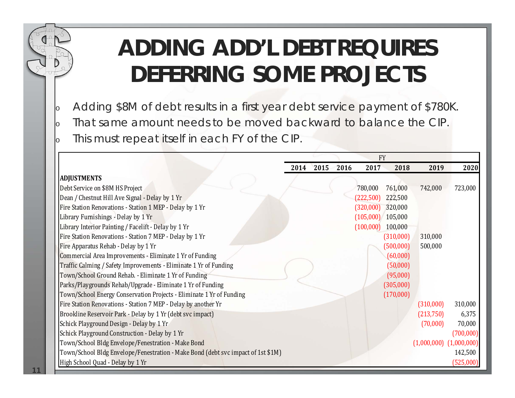### **ADDING ADD'L DEBT REQUIRES DEFERRING SOME PROJECTS**

- oAdding \$8M of debt results in a first year debt service payment of \$780K.
- oThat same amount needs to be moved backward to balance the CIP.
- oThis must repeat itself in each FY of the CIP.

|                                                                                  |      |      |      |                     | <b>FY</b> |           |                             |
|----------------------------------------------------------------------------------|------|------|------|---------------------|-----------|-----------|-----------------------------|
|                                                                                  | 2014 | 2015 | 2016 | 2017                | 2018      | 2019      | 2020                        |
| <b>ADJUSTMENTS</b>                                                               |      |      |      |                     |           |           |                             |
| Debt Service on \$8M HS Project                                                  |      |      |      | 780,000             | 761,000   | 742,000   | 723,000                     |
| Dean / Chestnut Hill Ave Signal - Delay by 1 Yr                                  |      |      |      | (222, 500)          | 222,500   |           |                             |
| Fire Station Renovations - Station 1 MEP - Delay by 1 Yr                         |      |      |      | $(320,000)$ 320,000 |           |           |                             |
| Library Furnishings - Delay by 1 Yr                                              |      |      |      | $(105,000)$ 105,000 |           |           |                             |
| Library Interior Painting / Facelift - Delay by 1 Yr                             |      |      |      | (100,000)           | 100,000   |           |                             |
| Fire Station Renovations - Station 7 MEP - Delay by 1 Yr                         |      |      |      |                     | (310,000) | 310,000   |                             |
| Fire Apparatus Rehab - Delay by 1 Yr                                             |      |      |      |                     | (500,000) | 500,000   |                             |
| Commercial Area Improvements - Eliminate 1 Yr of Funding                         |      |      |      |                     | (60,000)  |           |                             |
| Traffic Calming / Safety Improvements - Eliminate 1 Yr of Funding                |      |      |      |                     | (50,000)  |           |                             |
| Town/School Ground Rehab. - Eliminate 1 Yr of Funding                            |      |      |      |                     | (95,000)  |           |                             |
| Parks/Playgrounds Rehab/Upgrade - Eliminate 1 Yr of Funding                      |      |      |      |                     | (305,000) |           |                             |
| Town/School Energy Conservation Projects - Eliminate 1 Yr of Funding             |      |      |      |                     | (170,000) |           |                             |
| Fire Station Renovations - Station 7 MEP - Delay by another Yr                   |      |      |      |                     |           | (310,000) | 310,000                     |
| Brookline Reservoir Park - Delay by 1 Yr (debt svc impact)                       |      |      |      |                     |           | (213,750) | 6,375                       |
| Schick Playground Design - Delay by 1 Yr                                         |      |      |      |                     |           | (70,000)  | 70,000                      |
| Schick Playground Construction - Delay by 1 Yr                                   |      |      |      |                     |           |           | (700,000)                   |
| Town/School Bldg Envelope/Fenestration - Make Bond                               |      |      |      |                     |           |           | $(1,000,000)$ $(1,000,000)$ |
| Town/School Bldg Envelope/Fenestration - Make Bond (debt svc impact of 1st \$1M) |      |      |      |                     |           |           | 142,500                     |
| High School Quad - Delay by 1 Yr                                                 |      |      |      |                     |           |           | (525,000)                   |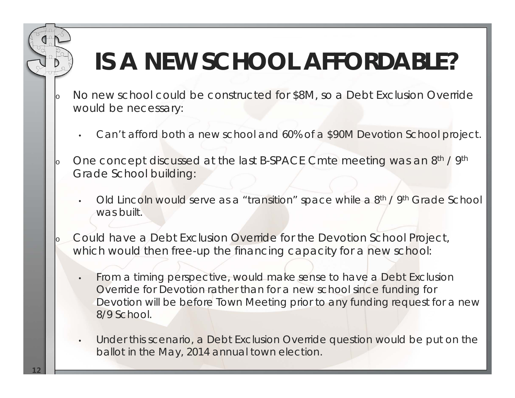# **IS A NEW SCHOOL AFFORDABLE?**

- No new school could be constructed for \$8M, so a Debt Exclusion Override would be necessary:
	- •Can't afford both a new school and 60% of a \$90M Devotion School project.
- oOne concept discussed at the last B-SPACE Cmte meeting was an 8<sup>th</sup> / 9<sup>th</sup> Grade School building:
	- •Old Lincoln would serve as a "transition" space while a 8<sup>th</sup> / 9<sup>th</sup> Grade School was built.
- o Could have a Debt Exclusion Override for the Devotion School Project, which would then free-up the financing capacity for a new school:
	- • From a timing perspective, would make sense to have a Debt Exclusion Override for Devotion rather than for a new school since funding for Devotion will be before Town Meeting prior to any funding request for a new 8/9 School.
	- • Under this scenario, a Debt Exclusion Override question would be put on the ballot in the May, 2014 annual town election.

o